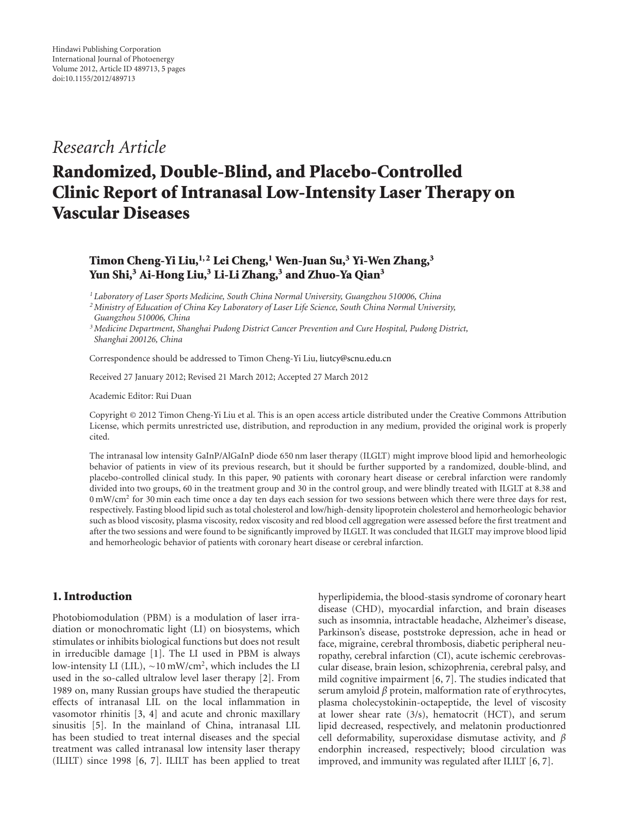## *Research Article*

# **Randomized, Double-Blind, and Placebo-Controlled Clinic Report of Intranasal Low-Intensity Laser Therapy on Vascular Diseases**

### **Timon Cheng-Yi Liu,1, 2 Lei Cheng,1 Wen-Juan Su,3 Yi-Wen Zhang,3 Yun Shi,3 Ai-Hong Liu,3 Li-Li Zhang,3 and Zhuo-Ya Qian3**

*<sup>1</sup> Laboratory of Laser Sports Medicine, South China Normal University, Guangzhou 510006, China*

*2Ministry of Education of China Key Laboratory of Laser Life Science, South China Normal University, Guangzhou 510006, China*

*3Medicine Department, Shanghai Pudong District Cancer Prevention and Cure Hospital, Pudong District, Shanghai 200126, China*

Correspondence should be addressed to Timon Cheng-Yi Liu, liutcy@scnu.edu.cn

Received 27 January 2012; Revised 21 March 2012; Accepted 27 March 2012

Academic Editor: Rui Duan

Copyright © 2012 Timon Cheng-Yi Liu et al. This is an open access article distributed under the Creative Commons Attribution License, which permits unrestricted use, distribution, and reproduction in any medium, provided the original work is properly cited.

The intranasal low intensity GaInP/AlGaInP diode 650 nm laser therapy (ILGLT) might improve blood lipid and hemorheologic behavior of patients in view of its previous research, but it should be further supported by a randomized, double-blind, and placebo-controlled clinical study. In this paper, 90 patients with coronary heart disease or cerebral infarction were randomly divided into two groups, 60 in the treatment group and 30 in the control group, and were blindly treated with ILGLT at 8.38 and 0 mW/cm2 for 30 min each time once a day ten days each session for two sessions between which there were three days for rest, respectively. Fasting blood lipid such as total cholesterol and low/high-density lipoprotein cholesterol and hemorheologic behavior such as blood viscosity, plasma viscosity, redox viscosity and red blood cell aggregation were assessed before the first treatment and after the two sessions and were found to be significantly improved by ILGLT. It was concluded that ILGLT may improve blood lipid and hemorheologic behavior of patients with coronary heart disease or cerebral infarction.

#### **1. Introduction**

Photobiomodulation (PBM) is a modulation of laser irradiation or monochromatic light (LI) on biosystems, which stimulates or inhibits biological functions but does not result in irreducible damage [1]. The LI used in PBM is always low-intensity LI (LIL), <sup>∼</sup>10 mW/cm2, which includes the LI used in the so-called ultralow level laser therapy [2]. From 1989 on, many Russian groups have studied the therapeutic effects of intranasal LIL on the local inflammation in vasomotor rhinitis [3, 4] and acute and chronic maxillary sinusitis [5]. In the mainland of China, intranasal LIL has been studied to treat internal diseases and the special treatment was called intranasal low intensity laser therapy (ILILT) since 1998 [6, 7]. ILILT has been applied to treat hyperlipidemia, the blood-stasis syndrome of coronary heart disease (CHD), myocardial infarction, and brain diseases such as insomnia, intractable headache, Alzheimer's disease, Parkinson's disease, poststroke depression, ache in head or face, migraine, cerebral thrombosis, diabetic peripheral neuropathy, cerebral infarction (CI), acute ischemic cerebrovascular disease, brain lesion, schizophrenia, cerebral palsy, and mild cognitive impairment [6, 7]. The studies indicated that serum amyloid *β* protein, malformation rate of erythrocytes, plasma cholecystokinin-octapeptide, the level of viscosity at lower shear rate (3/s), hematocrit (HCT), and serum lipid decreased, respectively, and melatonin productionred cell deformability, superoxidase dismutase activity, and *β* endorphin increased, respectively; blood circulation was improved, and immunity was regulated after ILILT [6, 7].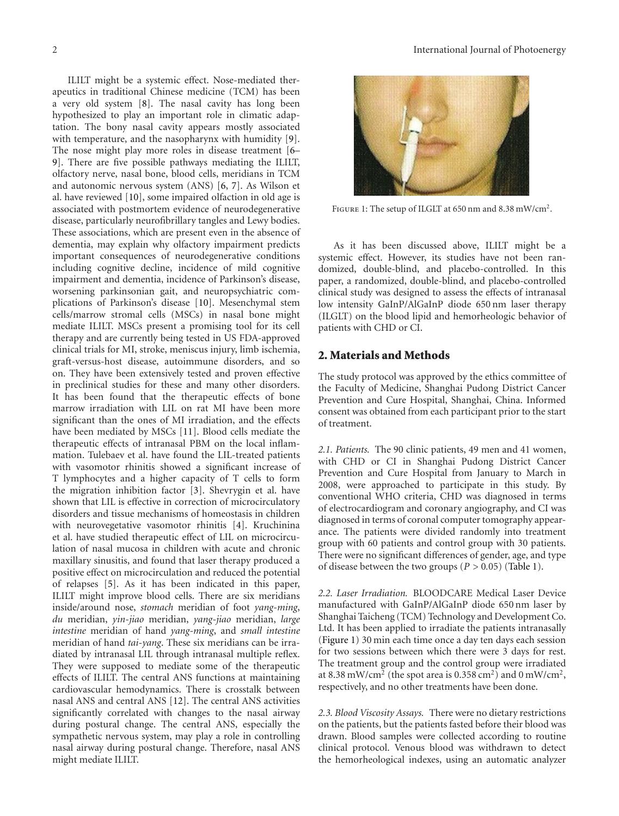ILILT might be a systemic effect. Nose-mediated therapeutics in traditional Chinese medicine (TCM) has been a very old system [8]. The nasal cavity has long been hypothesized to play an important role in climatic adaptation. The bony nasal cavity appears mostly associated with temperature, and the nasopharynx with humidity [9]. The nose might play more roles in disease treatment [6– 9]. There are five possible pathways mediating the ILILT, olfactory nerve, nasal bone, blood cells, meridians in TCM and autonomic nervous system (ANS) [6, 7]. As Wilson et al. have reviewed [10], some impaired olfaction in old age is associated with postmortem evidence of neurodegenerative disease, particularly neurofibrillary tangles and Lewy bodies. These associations, which are present even in the absence of dementia, may explain why olfactory impairment predicts important consequences of neurodegenerative conditions including cognitive decline, incidence of mild cognitive impairment and dementia, incidence of Parkinson's disease, worsening parkinsonian gait, and neuropsychiatric complications of Parkinson's disease [10]. Mesenchymal stem cells/marrow stromal cells (MSCs) in nasal bone might mediate ILILT. MSCs present a promising tool for its cell therapy and are currently being tested in US FDA-approved clinical trials for MI, stroke, meniscus injury, limb ischemia, graft-versus-host disease, autoimmune disorders, and so on. They have been extensively tested and proven effective in preclinical studies for these and many other disorders. It has been found that the therapeutic effects of bone marrow irradiation with LIL on rat MI have been more significant than the ones of MI irradiation, and the effects have been mediated by MSCs [11]. Blood cells mediate the therapeutic effects of intranasal PBM on the local inflammation. Tulebaev et al. have found the LIL-treated patients with vasomotor rhinitis showed a significant increase of T lymphocytes and a higher capacity of T cells to form the migration inhibition factor [3]. Shevrygin et al. have shown that LIL is effective in correction of microcirculatory disorders and tissue mechanisms of homeostasis in children with neurovegetative vasomotor rhinitis [4]. Kruchinina et al. have studied therapeutic effect of LIL on microcirculation of nasal mucosa in children with acute and chronic maxillary sinusitis, and found that laser therapy produced a positive effect on microcirculation and reduced the potential of relapses [5]. As it has been indicated in this paper, ILILT might improve blood cells. There are six meridians inside/around nose, *stomach* meridian of foot *yang-ming*, *du* meridian, *yin-jiao* meridian, *yang-jiao* meridian, *large intestine* meridian of hand *yang-ming*, and *small intestine* meridian of hand *tai-yang*. These six meridians can be irradiated by intranasal LIL through intranasal multiple reflex. They were supposed to mediate some of the therapeutic effects of ILILT. The central ANS functions at maintaining cardiovascular hemodynamics. There is crosstalk between nasal ANS and central ANS [12]. The central ANS activities significantly correlated with changes to the nasal airway during postural change. The central ANS, especially the sympathetic nervous system, may play a role in controlling nasal airway during postural change. Therefore, nasal ANS might mediate ILILT.



Figure 1: The setup of ILGLT at 650 nm and 8.38 mW/cm2.

As it has been discussed above, ILILT might be a systemic effect. However, its studies have not been randomized, double-blind, and placebo-controlled. In this paper, a randomized, double-blind, and placebo-controlled clinical study was designed to assess the effects of intranasal low intensity GaInP/AlGaInP diode 650 nm laser therapy (ILGLT) on the blood lipid and hemorheologic behavior of patients with CHD or CI.

#### **2. Materials and Methods**

The study protocol was approved by the ethics committee of the Faculty of Medicine, Shanghai Pudong District Cancer Prevention and Cure Hospital, Shanghai, China. Informed consent was obtained from each participant prior to the start of treatment.

*2.1. Patients.* The 90 clinic patients, 49 men and 41 women, with CHD or CI in Shanghai Pudong District Cancer Prevention and Cure Hospital from January to March in 2008, were approached to participate in this study. By conventional WHO criteria, CHD was diagnosed in terms of electrocardiogram and coronary angiography, and CI was diagnosed in terms of coronal computer tomography appearance. The patients were divided randomly into treatment group with 60 patients and control group with 30 patients. There were no significant differences of gender, age, and type of disease between the two groups (*P >* 0*.*05) (Table 1).

*2.2. Laser Irradiation.* BLOODCARE Medical Laser Device manufactured with GaInP/AlGaInP diode 650 nm laser by Shanghai Taicheng (TCM) Technology and Development Co. Ltd. It has been applied to irradiate the patients intranasally (Figure 1) 30 min each time once a day ten days each session for two sessions between which there were 3 days for rest. The treatment group and the control group were irradiated at 8.38 mW/cm<sup>2</sup> (the spot area is 0.358 cm2) and 0 mW/cm2, respectively, and no other treatments have been done.

*2.3. Blood Viscosity Assays.* There were no dietary restrictions on the patients, but the patients fasted before their blood was drawn. Blood samples were collected according to routine clinical protocol. Venous blood was withdrawn to detect the hemorheological indexes, using an automatic analyzer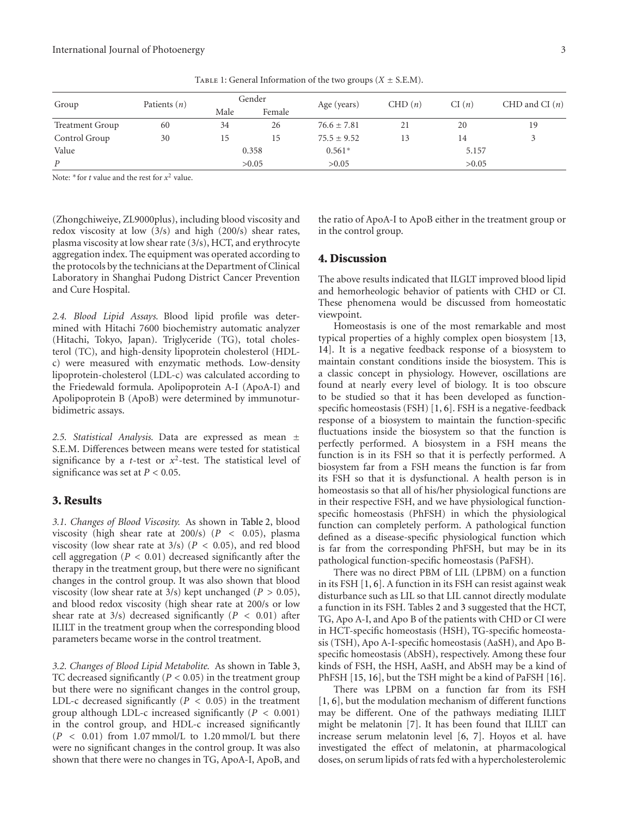| Group                  | Patients $(n)$ | Gender |        | Age (years)     | CHD(n) | CI(n) | CHD and CI $(n)$ |  |
|------------------------|----------------|--------|--------|-----------------|--------|-------|------------------|--|
|                        |                | Male   | Female |                 |        |       |                  |  |
| <b>Treatment Group</b> | 60             | 34     | 26     | $76.6 \pm 7.81$ | 21     | 20    | 19               |  |
| Control Group          | 30             | 15     | 15     | $75.5 \pm 9.52$ | 13     | 14    | 3                |  |
| Value                  |                | 0.358  |        | $0.561*$        |        | 5.157 |                  |  |
| P                      |                |        | >0.05  | >0.05           |        | >0.05 |                  |  |

Note:  $*$  for *t* value and the rest for  $x^2$  value.

(Zhongchiweiye, ZL9000plus), including blood viscosity and redox viscosity at low (3/s) and high (200/s) shear rates, plasma viscosity at low shear rate (3/s), HCT, and erythrocyte aggregation index. The equipment was operated according to the protocols by the technicians at the Department of Clinical Laboratory in Shanghai Pudong District Cancer Prevention and Cure Hospital.

*2.4. Blood Lipid Assays.* Blood lipid profile was determined with Hitachi 7600 biochemistry automatic analyzer (Hitachi, Tokyo, Japan). Triglyceride (TG), total cholesterol (TC), and high-density lipoprotein cholesterol (HDLc) were measured with enzymatic methods. Low-density lipoprotein-cholesterol (LDL-c) was calculated according to the Friedewald formula. Apolipoprotein A-I (ApoA-I) and Apolipoprotein B (ApoB) were determined by immunoturbidimetric assays.

*2.5. Statistical Analysis.* Data are expressed as mean ± S.E.M. Differences between means were tested for statistical significance by a *t*-test or  $x^2$ -test. The statistical level of significance was set at *P <* 0*.*05.

#### **3. Results**

*3.1. Changes of Blood Viscosity.* As shown in Table 2, blood viscosity (high shear rate at 200/s) (*P <* 0*.*05), plasma viscosity (low shear rate at 3/s) (*P <* 0*.*05), and red blood cell aggregation (*P <* 0*.*01) decreased significantly after the therapy in the treatment group, but there were no significant changes in the control group. It was also shown that blood viscosity (low shear rate at 3/s) kept unchanged (*P >* 0*.*05), and blood redox viscosity (high shear rate at 200/s or low shear rate at 3/s) decreased significantly (*P <* 0*.*01) after ILILT in the treatment group when the corresponding blood parameters became worse in the control treatment.

*3.2. Changes of Blood Lipid Metabolite.* As shown in Table 3, TC decreased significantly (*P <* 0*.*05) in the treatment group but there were no significant changes in the control group, LDL-c decreased significantly (*P <* 0*.*05) in the treatment group although LDL-c increased significantly (*P <* 0*.*001) in the control group, and HDL-c increased significantly (*P <* 0*.*01) from 1.07 mmol/L to 1.20 mmol/L but there were no significant changes in the control group. It was also shown that there were no changes in TG, ApoA-I, ApoB, and

the ratio of ApoA-I to ApoB either in the treatment group or in the control group.

#### **4. Discussion**

The above results indicated that ILGLT improved blood lipid and hemorheologic behavior of patients with CHD or CI. These phenomena would be discussed from homeostatic viewpoint.

Homeostasis is one of the most remarkable and most typical properties of a highly complex open biosystem [13, 14]. It is a negative feedback response of a biosystem to maintain constant conditions inside the biosystem. This is a classic concept in physiology. However, oscillations are found at nearly every level of biology. It is too obscure to be studied so that it has been developed as functionspecific homeostasis (FSH) [1, 6]. FSH is a negative-feedback response of a biosystem to maintain the function-specific fluctuations inside the biosystem so that the function is perfectly performed. A biosystem in a FSH means the function is in its FSH so that it is perfectly performed. A biosystem far from a FSH means the function is far from its FSH so that it is dysfunctional. A health person is in homeostasis so that all of his/her physiological functions are in their respective FSH, and we have physiological functionspecific homeostasis (PhFSH) in which the physiological function can completely perform. A pathological function defined as a disease-specific physiological function which is far from the corresponding PhFSH, but may be in its pathological function-specific homeostasis (PaFSH).

There was no direct PBM of LIL (LPBM) on a function in its FSH [1, 6]. A function in its FSH can resist against weak disturbance such as LIL so that LIL cannot directly modulate a function in its FSH. Tables 2 and 3 suggested that the HCT, TG, Apo A-I, and Apo B of the patients with CHD or CI were in HCT-specific homeostasis (HSH), TG-specific homeostasis (TSH), Apo A-I-specific homeostasis (AaSH), and Apo Bspecific homeostasis (AbSH), respectively. Among these four kinds of FSH, the HSH, AaSH, and AbSH may be a kind of PhFSH [15, 16], but the TSH might be a kind of PaFSH [16].

There was LPBM on a function far from its FSH [1, 6], but the modulation mechanism of different functions may be different. One of the pathways mediating ILILT might be melatonin [7]. It has been found that ILILT can increase serum melatonin level [6, 7]. Hoyos et al. have investigated the effect of melatonin, at pharmacological doses, on serum lipids of rats fed with a hypercholesterolemic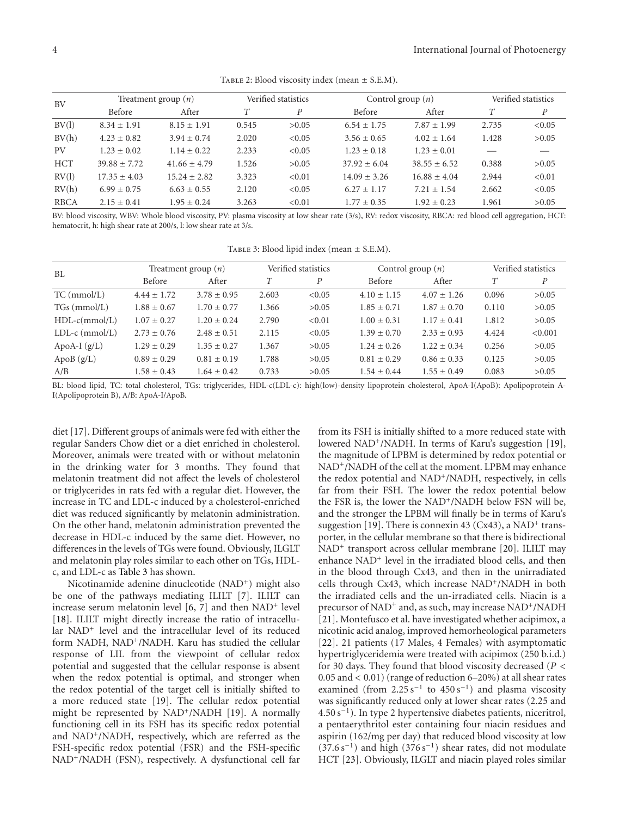TABLE 2: Blood viscosity index (mean  $\pm$  S.E.M).

| <b>BV</b>   | Treatment group $(n)$ |                  | Verified statistics |        | Control group $(n)$ | Verified statistics |       |                  |
|-------------|-----------------------|------------------|---------------------|--------|---------------------|---------------------|-------|------------------|
|             | Before                | After            |                     | P      | Before              | After               |       | $\boldsymbol{P}$ |
| BV(1)       | $8.34 + 1.91$         | $8.15 \pm 1.91$  | 0.545               | >0.05  | $6.54 \pm 1.75$     | $7.87 + 1.99$       | 2.735 | < 0.05           |
| BV(h)       | $4.23 + 0.82$         | $3.94 + 0.74$    | 2.020               | < 0.05 | $3.56 \pm 0.65$     | $4.02 + 1.64$       | 1.428 | >0.05            |
| PV          | $1.23 + 0.02$         | $1.14 \pm 0.22$  | 2.233               | < 0.05 | $1.23 + 0.18$       | $1.23 + 0.01$       |       |                  |
| <b>HCT</b>  | $39.88 + 7.72$        | $41.66 + 4.79$   | 1.526               | >0.05  | $37.92 + 6.04$      | $38.55 + 6.52$      | 0.388 | >0.05            |
| RV(1)       | $17.35 \pm 4.03$      | $15.24 \pm 2.82$ | 3.323               | < 0.01 | $14.09 \pm 3.26$    | $16.88 + 4.04$      | 2.944 | < 0.01           |
| RV(h)       | $6.99 + 0.75$         | $6.63 + 0.55$    | 2.120               | < 0.05 | $6.27 + 1.17$       | $7.21 + 1.54$       | 2.662 | < 0.05           |
| <b>RBCA</b> | $2.15 \pm 0.41$       | $1.95 + 0.24$    | 3.263               | < 0.01 | $1.77 + 0.35$       | $1.92 + 0.23$       | 1.961 | >0.05            |

BV: blood viscosity, WBV: Whole blood viscosity, PV: plasma viscosity at low shear rate (3/s), RV: redox viscosity, RBCA: red blood cell aggregation, HCT: hematocrit, h: high shear rate at 200/s, l: low shear rate at 3/s.

| TABLE 3: Blood lipid index (mean $\pm$ S.E.M). |
|------------------------------------------------|
|                                                |

| BL               | Treatment group $(n)$ |                 |       | Verified statistics | Control group $(n)$ |                 | Verified statistics |         |
|------------------|-----------------------|-----------------|-------|---------------------|---------------------|-----------------|---------------------|---------|
|                  | Before                | After           |       | P                   | Before              | After           |                     | P       |
| $TC \, (mmol/L)$ | $4.44 + 1.72$         | $3.78 + 0.95$   | 2.603 | < 0.05              | $4.10 \pm 1.15$     | $4.07 + 1.26$   | 0.096               | >0.05   |
| $TGs$ (mmol/L)   | $1.88 \pm 0.67$       | $1.70 \pm 0.77$ | 1.366 | >0.05               | $1.85 \pm 0.71$     | $1.87 + 0.70$   | 0.110               | >0.05   |
| $HDL-c(mmol/L)$  | $1.07 + 0.27$         | $1.20 + 0.24$   | 2.790 | < 0.01              | $1.00 \pm 0.31$     | $1.17 \pm 0.41$ | 1.812               | >0.05   |
| $LDL-c (mmol/L)$ | $2.73 + 0.76$         | $2.48 \pm 0.51$ | 2.115 | < 0.05              | $1.39 + 0.70$       | $2.33 + 0.93$   | 4.424               | < 0.001 |
| ApoA-I $(g/L)$   | $1.29 + 0.29$         | $1.35 + 0.27$   | 1.367 | >0.05               | $1.24 + 0.26$       | $1.22 + 0.34$   | 0.256               | >0.05   |
| ApoB $(g/L)$     | $0.89 + 0.29$         | $0.81 \pm 0.19$ | 1.788 | >0.05               | $0.81 + 0.29$       | $0.86 \pm 0.33$ | 0.125               | >0.05   |
| A/B              | $1.58 \pm 0.43$       | $1.64 \pm 0.42$ | 0.733 | >0.05               | $1.54 + 0.44$       | $1.55 \pm 0.49$ | 0.083               | >0.05   |

BL: blood lipid, TC: total cholesterol, TGs: triglycerides, HDL-c(LDL-c): high(low)-density lipoprotein cholesterol, ApoA-I(ApoB): Apolipoprotein A-I(Apolipoprotein B), A/B: ApoA-I/ApoB.

diet [17]. Different groups of animals were fed with either the regular Sanders Chow diet or a diet enriched in cholesterol. Moreover, animals were treated with or without melatonin in the drinking water for 3 months. They found that melatonin treatment did not affect the levels of cholesterol or triglycerides in rats fed with a regular diet. However, the increase in TC and LDL-c induced by a cholesterol-enriched diet was reduced significantly by melatonin administration. On the other hand, melatonin administration prevented the decrease in HDL-c induced by the same diet. However, no differences in the levels of TGs were found. Obviously, ILGLT and melatonin play roles similar to each other on TGs, HDLc, and LDL-c as Table 3 has shown.

Nicotinamide adenine dinucleotide (NAD<sup>+</sup>) might also be one of the pathways mediating ILILT [7]. ILILT can increase serum melatonin level  $[6, 7]$  and then NAD<sup>+</sup> level [18]. ILILT might directly increase the ratio of intracellular NAD+ level and the intracellular level of its reduced form NADH, NAD+/NADH. Karu has studied the cellular response of LIL from the viewpoint of cellular redox potential and suggested that the cellular response is absent when the redox potential is optimal, and stronger when the redox potential of the target cell is initially shifted to a more reduced state [19]. The cellular redox potential might be represented by NAD+/NADH [19]. A normally functioning cell in its FSH has its specific redox potential and NAD<sup>+</sup>/NADH, respectively, which are referred as the FSH-specific redox potential (FSR) and the FSH-specific NAD+/NADH (FSN), respectively. A dysfunctional cell far

from its FSH is initially shifted to a more reduced state with lowered NAD<sup>+</sup>/NADH. In terms of Karu's suggestion [19], the magnitude of LPBM is determined by redox potential or NAD<sup>+</sup>/NADH of the cell at the moment. LPBM may enhance the redox potential and NAD<sup>+</sup>/NADH, respectively, in cells far from their FSH. The lower the redox potential below the FSR is, the lower the NAD<sup>+</sup>/NADH below FSN will be, and the stronger the LPBM will finally be in terms of Karu's suggestion [19]. There is connexin 43 (Cx43), a NAD<sup>+</sup> transporter, in the cellular membrane so that there is bidirectional NAD+ transport across cellular membrane [20]. ILILT may enhance NAD+ level in the irradiated blood cells, and then in the blood through Cx43, and then in the unirradiated cells through Cx43, which increase NAD+/NADH in both the irradiated cells and the un-irradiated cells. Niacin is a precursor of NAD<sup>+</sup> and, as such, may increase NAD<sup>+</sup>/NADH [21]. Montefusco et al. have investigated whether acipimox, a nicotinic acid analog, improved hemorheological parameters [22]. 21 patients (17 Males, 4 Females) with asymptomatic hypertriglyceridemia were treated with acipimox (250 b.i.d.) for 30 days. They found that blood viscosity decreased (*P <* 0*.*05 and *<* 0*.*01) (range of reduction 6–20%) at all shear rates examined (from  $2.25 s^{-1}$  to  $450 s^{-1}$ ) and plasma viscosity was significantly reduced only at lower shear rates (2.25 and 4.50 s−1). In type 2 hypertensive diabetes patients, niceritrol, a pentaerythritol ester containing four niacin residues and aspirin (162/mg per day) that reduced blood viscosity at low  $(37.6 s<sup>-1</sup>)$  and high  $(376 s<sup>-1</sup>)$  shear rates, did not modulate HCT [23]. Obviously, ILGLT and niacin played roles similar